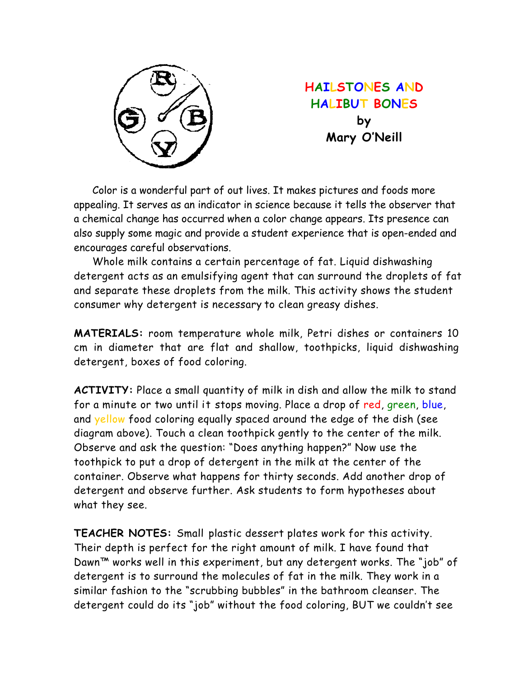

**HAILSTONES AND HALIBUT BONES by Mary O'Neill** 

 Color is a wonderful part of out lives. It makes pictures and foods more appealing. It serves as an indicator in science because it tells the observer that a chemical change has occurred when a color change appears. Its presence can also supply some magic and provide a student experience that is open-ended and encourages careful observations.

 Whole milk contains a certain percentage of fat. Liquid dishwashing detergent acts as an emulsifying agent that can surround the droplets of fat and separate these droplets from the milk. This activity shows the student consumer why detergent is necessary to clean greasy dishes.

**MATERIALS:** room temperature whole milk, Petri dishes or containers 10 cm in diameter that are flat and shallow, toothpicks, liquid dishwashing detergent, boxes of food coloring.

**ACTIVITY:** Place a small quantity of milk in dish and allow the milk to stand for a minute or two until it stops moving. Place a drop of red, green, blue, and yellow food coloring equally spaced around the edge of the dish (see diagram above). Touch a clean toothpick gently to the center of the milk. Observe and ask the question: "Does anything happen?" Now use the toothpick to put a drop of detergent in the milk at the center of the container. Observe what happens for thirty seconds. Add another drop of detergent and observe further. Ask students to form hypotheses about what they see.

**TEACHER NOTES:** Small plastic dessert plates work for this activity. Their depth is perfect for the right amount of milk. I have found that Dawn™ works well in this experiment, but any detergent works. The "job" of detergent is to surround the molecules of fat in the milk. They work in a similar fashion to the "scrubbing bubbles" in the bathroom cleanser. The detergent could do its "job" without the food coloring, BUT we couldn't see